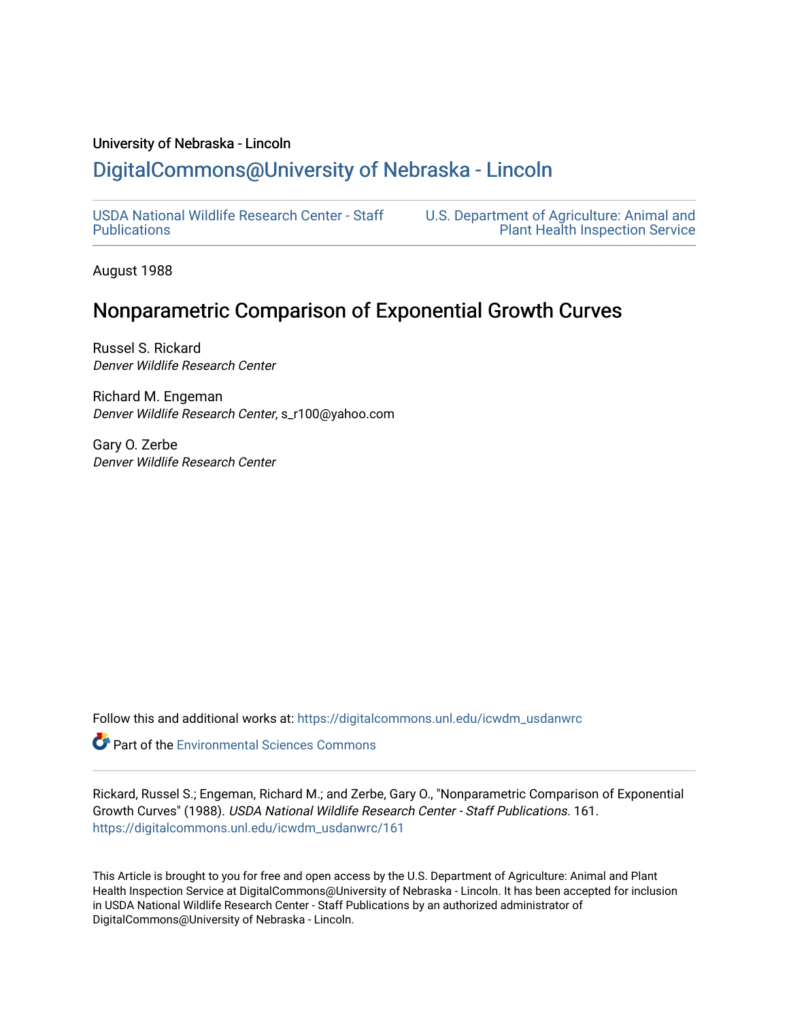### University of Nebraska - Lincoln

# [DigitalCommons@University of Nebraska - Lincoln](https://digitalcommons.unl.edu/)

[USDA National Wildlife Research Center - Staff](https://digitalcommons.unl.edu/icwdm_usdanwrc)  [Publications](https://digitalcommons.unl.edu/icwdm_usdanwrc) 

[U.S. Department of Agriculture: Animal and](https://digitalcommons.unl.edu/usdaaphis)  [Plant Health Inspection Service](https://digitalcommons.unl.edu/usdaaphis) 

August 1988

# Nonparametric Comparison of Exponential Growth Curves

Russel S. Rickard Denver Wildlife Research Center

Richard M. Engeman Denver Wildlife Research Center, s\_r100@yahoo.com

Gary O. Zerbe Denver Wildlife Research Center

Follow this and additional works at: [https://digitalcommons.unl.edu/icwdm\\_usdanwrc](https://digitalcommons.unl.edu/icwdm_usdanwrc?utm_source=digitalcommons.unl.edu%2Ficwdm_usdanwrc%2F161&utm_medium=PDF&utm_campaign=PDFCoverPages)

**C** Part of the [Environmental Sciences Commons](http://network.bepress.com/hgg/discipline/167?utm_source=digitalcommons.unl.edu%2Ficwdm_usdanwrc%2F161&utm_medium=PDF&utm_campaign=PDFCoverPages)

Rickard, Russel S.; Engeman, Richard M.; and Zerbe, Gary O., "Nonparametric Comparison of Exponential Growth Curves" (1988). USDA National Wildlife Research Center - Staff Publications. 161. [https://digitalcommons.unl.edu/icwdm\\_usdanwrc/161](https://digitalcommons.unl.edu/icwdm_usdanwrc/161?utm_source=digitalcommons.unl.edu%2Ficwdm_usdanwrc%2F161&utm_medium=PDF&utm_campaign=PDFCoverPages)

This Article is brought to you for free and open access by the U.S. Department of Agriculture: Animal and Plant Health Inspection Service at DigitalCommons@University of Nebraska - Lincoln. It has been accepted for inclusion in USDA National Wildlife Research Center - Staff Publications by an authorized administrator of DigitalCommons@University of Nebraska - Lincoln.